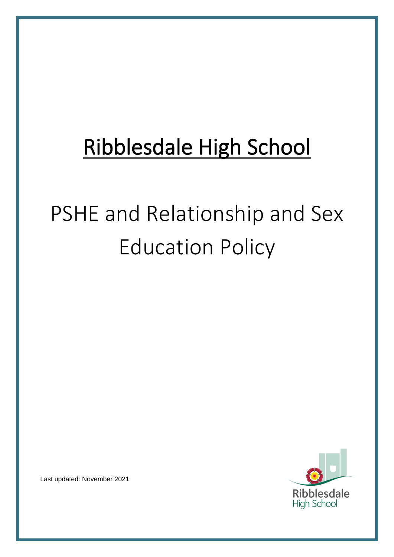## Ribblesdale High School

# PSHE and Relationship and Sex Education Policy



Last updated: November 2021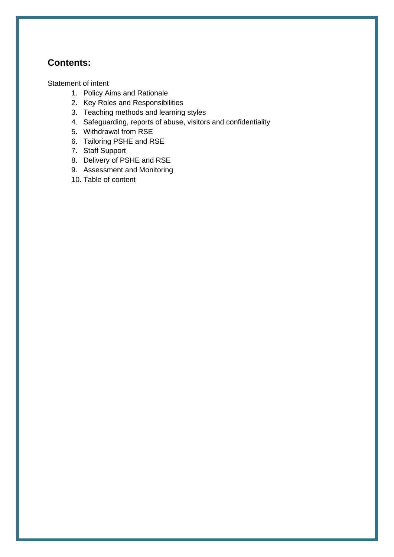## **Contents:**

[Statement of intent](#page-2-0)

- 1. Policy Aims and Rationale
- 2. Key Roles and Responsibilities
- 3. Teaching methods and learning styles
- 4. Safeguarding, reports of abuse, visitors and confidentiality
- 5. Withdrawal from RSE
- 6. Tailoring PSHE and RSE
- 7. Staff Support
- 8. Delivery of PSHE and RSE
- 9. Assessment and Monitoring
- 10. Table of content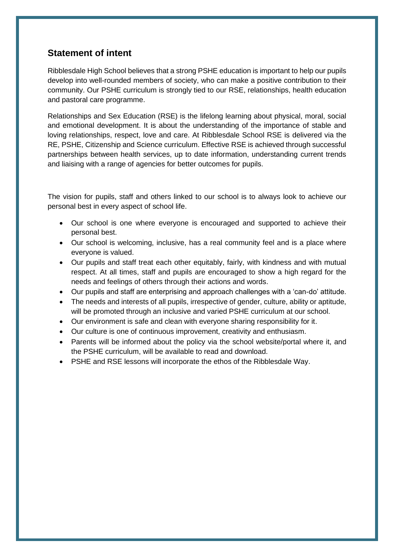## <span id="page-2-0"></span>**Statement of intent**

Ribblesdale High School believes that a strong PSHE education is important to help our pupils develop into well-rounded members of society, who can make a positive contribution to their community. Our PSHE curriculum is strongly tied to our RSE, relationships, health education and pastoral care programme.

Relationships and Sex Education (RSE) is the lifelong learning about physical, moral, social and emotional development. It is about the understanding of the importance of stable and loving relationships, respect, love and care. At Ribblesdale School RSE is delivered via the RE, PSHE, Citizenship and Science curriculum. Effective RSE is achieved through successful partnerships between health services, up to date information, understanding current trends and liaising with a range of agencies for better outcomes for pupils.

The vision for pupils, staff and others linked to our school is to always look to achieve our personal best in every aspect of school life.

- Our school is one where everyone is encouraged and supported to achieve their personal best.
- Our school is welcoming, inclusive, has a real community feel and is a place where everyone is valued.
- Our pupils and staff treat each other equitably, fairly, with kindness and with mutual respect. At all times, staff and pupils are encouraged to show a high regard for the needs and feelings of others through their actions and words.
- Our pupils and staff are enterprising and approach challenges with a 'can-do' attitude.
- The needs and interests of all pupils, irrespective of gender, culture, ability or aptitude, will be promoted through an inclusive and varied PSHE curriculum at our school.
- Our environment is safe and clean with everyone sharing responsibility for it.
- Our culture is one of continuous improvement, creativity and enthusiasm.
- Parents will be informed about the policy via the school website/portal where it, and the PSHE curriculum, will be available to read and download.
- PSHE and RSE lessons will incorporate the ethos of the Ribblesdale Way.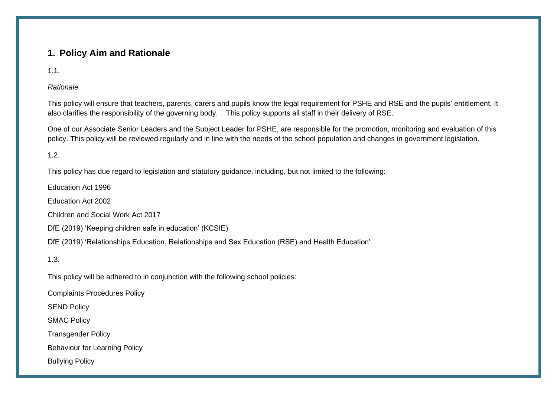## **1. Policy Aim and Rationale**

1.1.

#### *Rationale*

This policy will ensure that teachers, parents, carers and pupils know the legal requirement for PSHE and RSE and the pupils' entitlement. It also clarifies the responsibility of the governing body. This policy supports all staff in their delivery of RSE.

One of our Associate Senior Leaders and the Subject Leader for PSHE, are responsible for the promotion, monitoring and evaluation of this policy. This policy will be reviewed regularly and in line with the needs of the school population and changes in government legislation.

1.2.

This policy has due regard to legislation and statutory guidance, including, but not limited to the following:

Education Act 1996

Education Act 2002

Children and Social Work Act 2017

DfE (2019) 'Keeping children safe in education' (KCSIE)

DfE (2019) 'Relationships Education, Relationships and Sex Education (RSE) and Health Education'

1.3.

This policy will be adhered to in conjunction with the following school policies:

Complaints Procedures Policy

SEND Policy

SMAC Policy

Transgender Policy

Behaviour for Learning Policy

Bullying Policy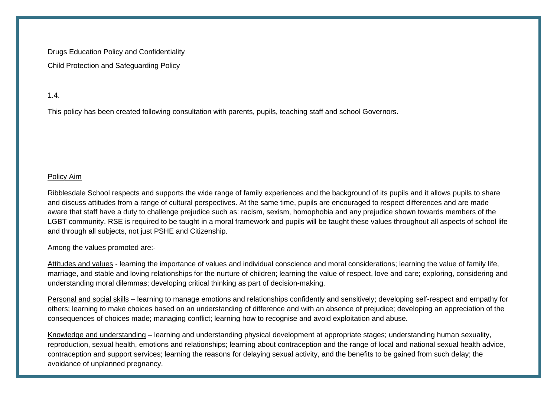Drugs Education Policy and Confidentiality Child Protection and Safeguarding Policy

#### 1.4.

This policy has been created following consultation with parents, pupils, teaching staff and school Governors.

#### Policy Aim

Ribblesdale School respects and supports the wide range of family experiences and the background of its pupils and it allows pupils to share and discuss attitudes from a range of cultural perspectives. At the same time, pupils are encouraged to respect differences and are made aware that staff have a duty to challenge prejudice such as: racism, sexism, homophobia and any prejudice shown towards members of the LGBT community. RSE is required to be taught in a moral framework and pupils will be taught these values throughout all aspects of school life and through all subjects, not just PSHE and Citizenship.

Among the values promoted are:-

Attitudes and values - learning the importance of values and individual conscience and moral considerations; learning the value of family life, marriage, and stable and loving relationships for the nurture of children; learning the value of respect, love and care; exploring, considering and understanding moral dilemmas; developing critical thinking as part of decision-making.

Personal and social skills – learning to manage emotions and relationships confidently and sensitively; developing self-respect and empathy for others; learning to make choices based on an understanding of difference and with an absence of prejudice; developing an appreciation of the consequences of choices made; managing conflict; learning how to recognise and avoid exploitation and abuse.

Knowledge and understanding – learning and understanding physical development at appropriate stages; understanding human sexuality, reproduction, sexual health, emotions and relationships; learning about contraception and the range of local and national sexual health advice, contraception and support services; learning the reasons for delaying sexual activity, and the benefits to be gained from such delay; the avoidance of unplanned pregnancy.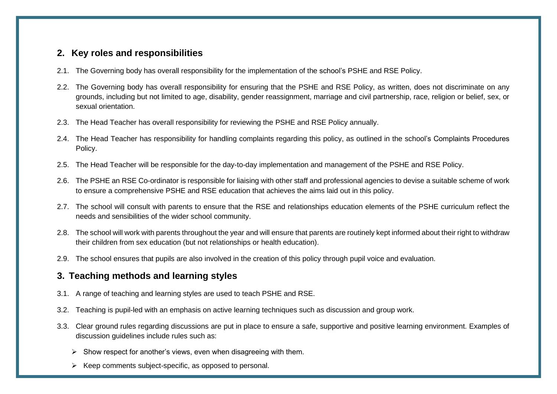#### **2. Key roles and responsibilities**

- 2.1. The Governing body has overall responsibility for the implementation of the school's PSHE and RSE Policy.
- 2.2. The Governing body has overall responsibility for ensuring that the PSHE and RSE Policy, as written, does not discriminate on any grounds, including but not limited to age, disability, gender reassignment, marriage and civil partnership, race, religion or belief, sex, or sexual orientation.
- 2.3. The Head Teacher has overall responsibility for reviewing the PSHE and RSE Policy annually.
- 2.4. The Head Teacher has responsibility for handling complaints regarding this policy, as outlined in the school's Complaints Procedures Policy.
- 2.5. The Head Teacher will be responsible for the day-to-day implementation and management of the PSHE and RSE Policy.
- 2.6. The PSHE an RSE Co-ordinator is responsible for liaising with other staff and professional agencies to devise a suitable scheme of work to ensure a comprehensive PSHE and RSE education that achieves the aims laid out in this policy.
- 2.7. The school will consult with parents to ensure that the RSE and relationships education elements of the PSHE curriculum reflect the needs and sensibilities of the wider school community.
- 2.8. The school will work with parents throughout the year and will ensure that parents are routinely kept informed about their right to withdraw their children from sex education (but not relationships or health education).
- 2.9. The school ensures that pupils are also involved in the creation of this policy through pupil voice and evaluation.

#### **3. Teaching methods and learning styles**

- 3.1. A range of teaching and learning styles are used to teach PSHE and RSE.
- 3.2. Teaching is pupil-led with an emphasis on active learning techniques such as discussion and group work.
- 3.3. Clear ground rules regarding discussions are put in place to ensure a safe, supportive and positive learning environment. Examples of discussion guidelines include rules such as:
	- $\triangleright$  Show respect for another's views, even when disagreeing with them.
	- ➢ Keep comments subject-specific, as opposed to personal.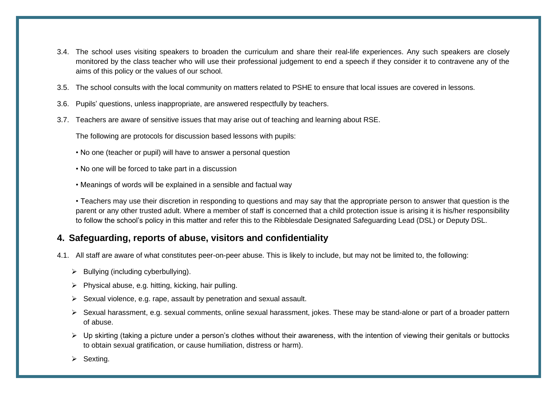- 3.4. The school uses visiting speakers to broaden the curriculum and share their real-life experiences. Any such speakers are closely monitored by the class teacher who will use their professional judgement to end a speech if they consider it to contravene any of the aims of this policy or the values of our school.
- 3.5. The school consults with the local community on matters related to PSHE to ensure that local issues are covered in lessons.
- 3.6. Pupils' questions, unless inappropriate, are answered respectfully by teachers.
- 3.7. Teachers are aware of sensitive issues that may arise out of teaching and learning about RSE.

The following are protocols for discussion based lessons with pupils:

- No one (teacher or pupil) will have to answer a personal question
- No one will be forced to take part in a discussion
- Meanings of words will be explained in a sensible and factual way

• Teachers may use their discretion in responding to questions and may say that the appropriate person to answer that question is the parent or any other trusted adult. Where a member of staff is concerned that a child protection issue is arising it is his/her responsibility to follow the school's policy in this matter and refer this to the Ribblesdale Designated Safeguarding Lead (DSL) or Deputy DSL.

## **4. Safeguarding, reports of abuse, visitors and confidentiality**

- 4.1. All staff are aware of what constitutes peer-on-peer abuse. This is likely to include, but may not be limited to, the following:
	- ➢ Bullying (including cyberbullying).
	- ➢ Physical abuse, e.g. hitting, kicking, hair pulling.
	- ➢ Sexual violence, e.g. rape, assault by penetration and sexual assault.
	- ➢ Sexual harassment, e.g. sexual comments, online sexual harassment, jokes. These may be stand-alone or part of a broader pattern of abuse.
	- ➢ Up skirting (taking a picture under a person's clothes without their awareness, with the intention of viewing their genitals or buttocks to obtain sexual gratification, or cause humiliation, distress or harm).
	- ➢ Sexting.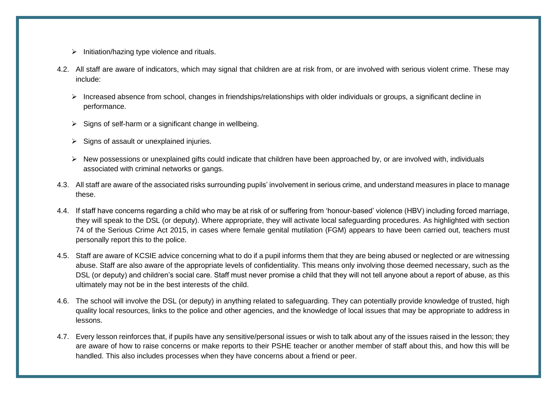- ➢ Initiation/hazing type violence and rituals.
- 4.2. All staff are aware of indicators, which may signal that children are at risk from, or are involved with serious violent crime. These may include:
	- ➢ Increased absence from school, changes in friendships/relationships with older individuals or groups, a significant decline in performance.
	- $\triangleright$  Signs of self-harm or a significant change in wellbeing.
	- $\triangleright$  Signs of assault or unexplained injuries.
	- ➢ New possessions or unexplained gifts could indicate that children have been approached by, or are involved with, individuals associated with criminal networks or gangs.
- 4.3. All staff are aware of the associated risks surrounding pupils' involvement in serious crime, and understand measures in place to manage these.
- 4.4. If staff have concerns regarding a child who may be at risk of or suffering from 'honour-based' violence (HBV) including forced marriage, they will speak to the DSL (or deputy). Where appropriate, they will activate local safeguarding procedures. As highlighted with section 74 of the Serious Crime Act 2015, in cases where female genital mutilation (FGM) appears to have been carried out, teachers must personally report this to the police.
- 4.5. Staff are aware of KCSIE advice concerning what to do if a pupil informs them that they are being abused or neglected or are witnessing abuse. Staff are also aware of the appropriate levels of confidentiality. This means only involving those deemed necessary, such as the DSL (or deputy) and children's social care. Staff must never promise a child that they will not tell anyone about a report of abuse, as this ultimately may not be in the best interests of the child.
- 4.6. The school will involve the DSL (or deputy) in anything related to safeguarding. They can potentially provide knowledge of trusted, high quality local resources, links to the police and other agencies, and the knowledge of local issues that may be appropriate to address in lessons.
- 4.7. Every lesson reinforces that, if pupils have any sensitive/personal issues or wish to talk about any of the issues raised in the lesson; they are aware of how to raise concerns or make reports to their PSHE teacher or another member of staff about this, and how this will be handled. This also includes processes when they have concerns about a friend or peer.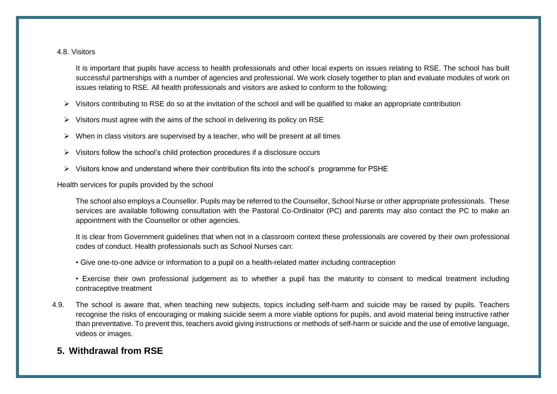#### 4.8. Visitors

It is important that pupils have access to health professionals and other local experts on issues relating to RSE. The school has built successful partnerships with a number of agencies and professional. We work closely together to plan and evaluate modules of work on issues relating to RSE. All health professionals and visitors are asked to conform to the following:

- ➢ Visitors contributing to RSE do so at the invitation of the school and will be qualified to make an appropriate contribution
- $\triangleright$  Visitors must agree with the aims of the school in delivering its policy on RSE
- $\triangleright$  When in class visitors are supervised by a teacher, who will be present at all times
- ➢ Visitors follow the school's child protection procedures if a disclosure occurs
- ➢ Visitors know and understand where their contribution fits into the school's programme for PSHE

Health services for pupils provided by the school

The school also employs a Counsellor. Pupils may be referred to the Counsellor, School Nurse or other appropriate professionals. These services are available following consultation with the Pastoral Co-Ordinator (PC) and parents may also contact the PC to make an appointment with the Counsellor or other agencies.

It is clear from Government guidelines that when not in a classroom context these professionals are covered by their own professional codes of conduct. Health professionals such as School Nurses can:

- Give one-to-one advice or information to a pupil on a health-related matter including contraception
- Exercise their own professional judgement as to whether a pupil has the maturity to consent to medical treatment including contraceptive treatment
- 4.9. The school is aware that, when teaching new subjects, topics including self-harm and suicide may be raised by pupils. Teachers recognise the risks of encouraging or making suicide seem a more viable options for pupils, and avoid material being instructive rather than preventative. To prevent this, teachers avoid giving instructions or methods of self-harm or suicide and the use of emotive language, videos or images.

## **5. Withdrawal from RSE**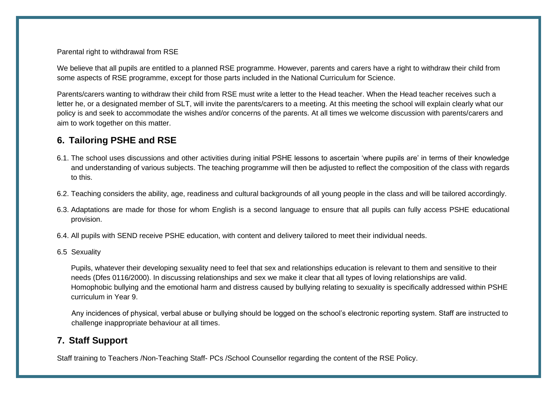Parental right to withdrawal from RSE

We believe that all pupils are entitled to a planned RSE programme. However, parents and carers have a right to withdraw their child from some aspects of RSE programme, except for those parts included in the National Curriculum for Science.

Parents/carers wanting to withdraw their child from RSE must write a letter to the Head teacher. When the Head teacher receives such a letter he, or a designated member of SLT, will invite the parents/carers to a meeting. At this meeting the school will explain clearly what our policy is and seek to accommodate the wishes and/or concerns of the parents. At all times we welcome discussion with parents/carers and aim to work together on this matter.

## **6. Tailoring PSHE and RSE**

- 6.1. The school uses discussions and other activities during initial PSHE lessons to ascertain 'where pupils are' in terms of their knowledge and understanding of various subjects. The teaching programme will then be adjusted to reflect the composition of the class with regards to this.
- 6.2. Teaching considers the ability, age, readiness and cultural backgrounds of all young people in the class and will be tailored accordingly.
- 6.3. Adaptations are made for those for whom English is a second language to ensure that all pupils can fully access PSHE educational provision.
- 6.4. All pupils with SEND receive PSHE education, with content and delivery tailored to meet their individual needs.
- 6.5 Sexuality

Pupils, whatever their developing sexuality need to feel that sex and relationships education is relevant to them and sensitive to their needs (Dfes 0116/2000). In discussing relationships and sex we make it clear that all types of loving relationships are valid. Homophobic bullying and the emotional harm and distress caused by bullying relating to sexuality is specifically addressed within PSHE curriculum in Year 9.

Any incidences of physical, verbal abuse or bullying should be logged on the school's electronic reporting system. Staff are instructed to challenge inappropriate behaviour at all times.

#### **7. Staff Support**

Staff training to Teachers /Non-Teaching Staff- PCs /School Counsellor regarding the content of the RSE Policy.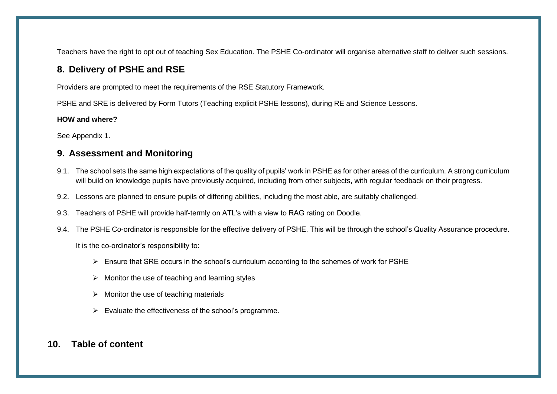Teachers have the right to opt out of teaching Sex Education. The PSHE Co-ordinator will organise alternative staff to deliver such sessions.

## **8. Delivery of PSHE and RSE**

Providers are prompted to meet the requirements of the RSE Statutory Framework.

PSHE and SRE is delivered by Form Tutors (Teaching explicit PSHE lessons), during RE and Science Lessons.

#### **HOW and where?**

See Appendix 1.

#### **9. Assessment and Monitoring**

- 9.1. The school sets the same high expectations of the quality of pupils' work in PSHE as for other areas of the curriculum. A strong curriculum will build on knowledge pupils have previously acquired, including from other subjects, with regular feedback on their progress.
- 9.2. Lessons are planned to ensure pupils of differing abilities, including the most able, are suitably challenged.
- 9.3. Teachers of PSHE will provide half-termly on ATL's with a view to RAG rating on Doodle.
- 9.4. The PSHE Co-ordinator is responsible for the effective delivery of PSHE. This will be through the school's Quality Assurance procedure.

It is the co-ordinator's responsibility to:

- ➢ Ensure that SRE occurs in the school's curriculum according to the schemes of work for PSHE
- $\triangleright$  Monitor the use of teaching and learning styles
- $\triangleright$  Monitor the use of teaching materials
- $\triangleright$  Evaluate the effectiveness of the school's programme.

#### **10. Table of content**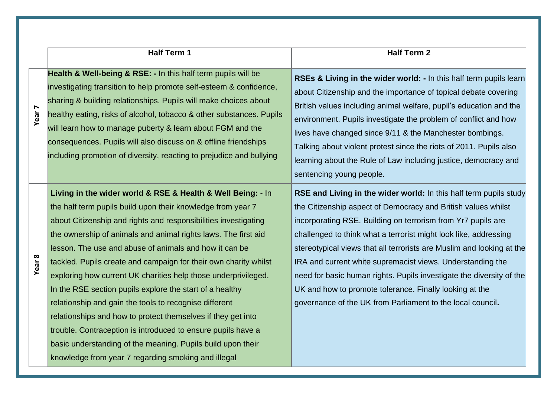|                   | <b>Half Term 1</b>                                                                                                                                                                                                                                                                                                                                                                                                                                                                                                                                                                                                                                                                                                                                                                                                                          | <b>Half Term 2</b>                                                                                                                                                                                                                                                                                                                                                                                                                                                                                                                                                                                             |
|-------------------|---------------------------------------------------------------------------------------------------------------------------------------------------------------------------------------------------------------------------------------------------------------------------------------------------------------------------------------------------------------------------------------------------------------------------------------------------------------------------------------------------------------------------------------------------------------------------------------------------------------------------------------------------------------------------------------------------------------------------------------------------------------------------------------------------------------------------------------------|----------------------------------------------------------------------------------------------------------------------------------------------------------------------------------------------------------------------------------------------------------------------------------------------------------------------------------------------------------------------------------------------------------------------------------------------------------------------------------------------------------------------------------------------------------------------------------------------------------------|
| Year <sub>7</sub> | Health & Well-being & RSE: - In this half term pupils will be<br>investigating transition to help promote self-esteem & confidence,<br>sharing & building relationships. Pupils will make choices about<br>healthy eating, risks of alcohol, tobacco & other substances. Pupils<br>will learn how to manage puberty & learn about FGM and the<br>consequences. Pupils will also discuss on & offline friendships<br>including promotion of diversity, reacting to prejudice and bullying                                                                                                                                                                                                                                                                                                                                                    | RSEs & Living in the wider world: - In this half term pupils learn<br>about Citizenship and the importance of topical debate covering<br>British values including animal welfare, pupil's education and the<br>environment. Pupils investigate the problem of conflict and how<br>lives have changed since 9/11 & the Manchester bombings.<br>Talking about violent protest since the riots of 2011. Pupils also<br>learning about the Rule of Law including justice, democracy and<br>sentencing young people.                                                                                                |
| Year <sub>8</sub> | Living in the wider world & RSE & Health & Well Being: - In<br>the half term pupils build upon their knowledge from year 7<br>about Citizenship and rights and responsibilities investigating<br>the ownership of animals and animal rights laws. The first aid<br>lesson. The use and abuse of animals and how it can be<br>tackled. Pupils create and campaign for their own charity whilst<br>exploring how current UK charities help those underprivileged.<br>In the RSE section pupils explore the start of a healthy<br>relationship and gain the tools to recognise different<br>relationships and how to protect themselves if they get into<br>trouble. Contraception is introduced to ensure pupils have a<br>basic understanding of the meaning. Pupils build upon their<br>knowledge from year 7 regarding smoking and illegal | RSE and Living in the wider world: In this half term pupils study<br>the Citizenship aspect of Democracy and British values whilst<br>incorporating RSE. Building on terrorism from Yr7 pupils are<br>challenged to think what a terrorist might look like, addressing<br>stereotypical views that all terrorists are Muslim and looking at the<br>IRA and current white supremacist views. Understanding the<br>need for basic human rights. Pupils investigate the diversity of the<br>UK and how to promote tolerance. Finally looking at the<br>governance of the UK from Parliament to the local council. |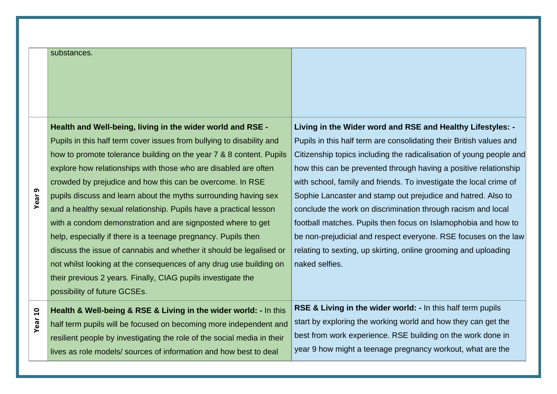#### substances.

**Year 9**

**Health and Well-being, living in the wider world and RSE -**  Pupils in this half term cover issues from bullying to disability and how to promote tolerance building on the year 7 & 8 content. Pupils explore how relationships with those who are disabled are often crowded by prejudice and how this can be overcome. In RSE pupils discuss and learn about the myths surrounding having sex and a healthy sexual relationship. Pupils have a practical lesson with a condom demonstration and are signposted where to get help, especially if there is a teenage pregnancy. Pupils then discuss the issue of cannabis and whether it should be legalised or not whilst looking at the consequences of any drug use building on their previous 2 years. Finally, CIAG pupils investigate the possibility of future GCSEs.

**Living in the Wider word and RSE and Healthy Lifestyles: -** Pupils in this half term are consolidating their British values and Citizenship topics including the radicalisation of young people and how this can be prevented through having a positive relationship with school, family and friends. To investigate the local crime of Sophie Lancaster and stamp out prejudice and hatred. Also to conclude the work on discrimination through racism and local football matches. Pupils then focus on Islamophobia and how to be non-prejudicial and respect everyone. RSE focuses on the law relating to sexting, up skirting, online grooming and uploading naked selfies.

**Year 10 Health & Well-being & RSE & Living in the wider world: -** In this half term pupils will be focused on becoming more independent and resilient people by investigating the role of the social media in their lives as role models/ sources of information and how best to deal

**RSE & Living in the wider world: -** In this half term pupils start by exploring the working world and how they can get the best from work experience. RSE building on the work done in year 9 how might a teenage pregnancy workout, what are the